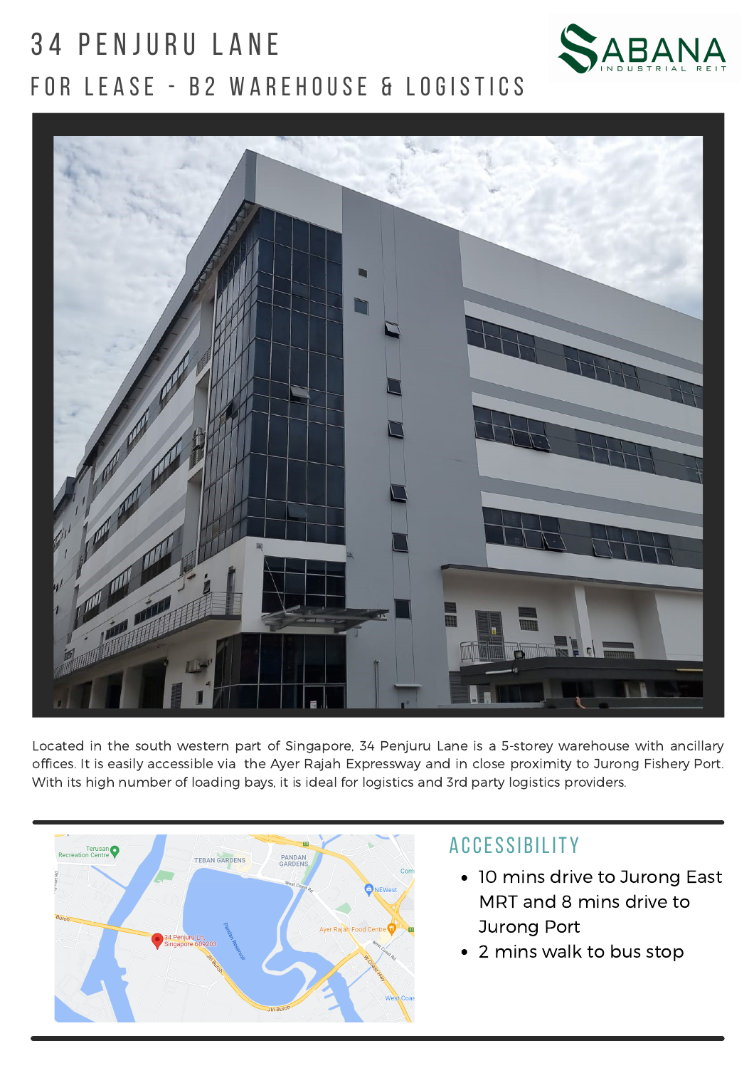# 34 PENJURU LANE FOR LEASE - B2 WAREHOUSE & LOGISTICS





Located in the south western part of Singapore, 34 Penjuru Lane is a 5-storey warehouse with ancillary offices. It is easily accessible via the Ayer Rajah Expressway and in close proximity to Jurong Fishery Port. With its high number of loading bays, it is ideal for logistics and 3rd party logistics providers.



# **ACCESSIBILITY**

- 10 mins drive to Jurong East MRT and 8 mins drive to Jurong Port
- 2 mins walk to bus stop